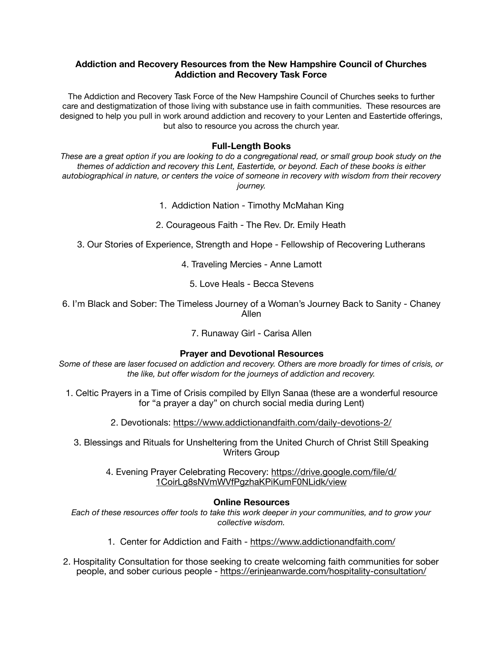# **Addiction and Recovery Resources from the New Hampshire Council of Churches Addiction and Recovery Task Force**

The Addiction and Recovery Task Force of the New Hampshire Council of Churches seeks to further care and destigmatization of those living with substance use in faith communities. These resources are designed to help you pull in work around addiction and recovery to your Lenten and Eastertide offerings, but also to resource you across the church year.

### **Full-Length Books**

*These are a great option if you are looking to do a congregational read, or small group book study on the themes of addiction and recovery this Lent, Eastertide, or beyond. Each of these books is either autobiographical in nature, or centers the voice of someone in recovery with wisdom from their recovery journey.*

- 1. Addiction Nation Timothy McMahan King
- 2. Courageous Faith The Rev. Dr. Emily Heath
- 3. Our Stories of Experience, Strength and Hope Fellowship of Recovering Lutherans
	- 4. Traveling Mercies Anne Lamott
		- 5. Love Heals Becca Stevens
- 6. I'm Black and Sober: The Timeless Journey of a Woman's Journey Back to Sanity Chaney Allen

# 7. Runaway Girl - Carisa Allen

#### **Prayer and Devotional Resources**

*Some of these are laser focused on addiction and recovery. Others are more broadly for times of crisis, or the like, but offer wisdom for the journeys of addiction and recovery.*

- 1. Celtic Prayers in a Time of Crisis compiled by Ellyn Sanaa (these are a wonderful resource for "a prayer a day" on church social media during Lent)
	- 2. Devotionals: <https://www.addictionandfaith.com/daily-devotions-2/>
	- 3. Blessings and Rituals for Unsheltering from the United Church of Christ Still Speaking Writers Group
		- 4. Evening Prayer Celebrating Recovery: [https://drive.google.com/file/d/](https://drive.google.com/file/d/1CoirLg8sNVmWVfPgzhaKPiKumF0NLidk/view) [1CoirLg8sNVmWVfPgzhaKPiKumF0NLidk/view](https://drive.google.com/file/d/1CoirLg8sNVmWVfPgzhaKPiKumF0NLidk/view)

#### **Online Resources**

*Each of these resources offer tools to take this work deeper in your communities, and to grow your collective wisdom.*

- 1. Center for Addiction and Faith <https://www.addictionandfaith.com/>
- 2. Hospitality Consultation for those seeking to create welcoming faith communities for sober people, and sober curious people - [https://erinjeanwarde.com/hospitality-consultation/](http://www.apple.com)